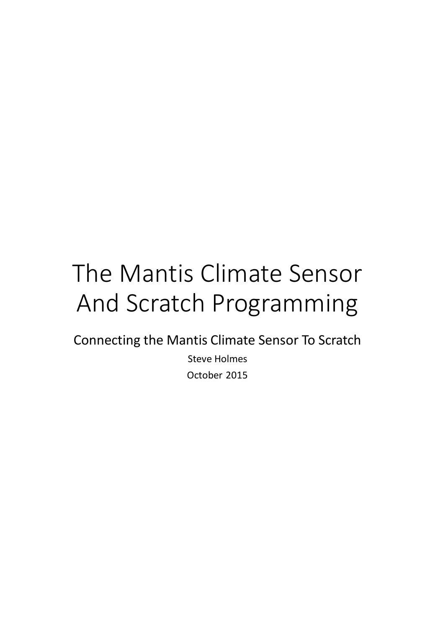# The Mantis Climate Sensor And Scratch Programming

Connecting the Mantis Climate Sensor To Scratch

Steve Holmes October 2015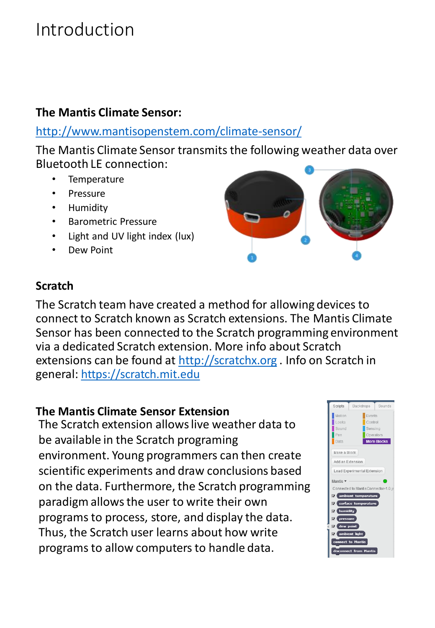### Introduction

#### **The Mantis Climate Sensor:**

### <http://www.mantisopenstem.com/climate-sensor/>

The Mantis Climate Sensor transmits the following weather data over Bluetooth LE connection:

- **Temperature**
- Pressure
- Humidity
- Barometric Pressure
- Light and UV light index (lux)
- Dew Point



#### **Scratch**

The Scratch team have created a method for allowing devices to connect to Scratch known as Scratch extensions. The Mantis Climate Sensor has been connected to the Scratch programming environment via a dedicated Scratch extension. More info about Scratch extensions can be found at [http://scratchx.org](http://scratchx.org/) . Info on Scratch in general: [https://scratch.mit.edu](https://scratch.mit.edu/)

#### **The Mantis Climate Sensor Extension**

The Scratch extension allows live weather data to be available in the Scratch programing environment. Young programmers can then create scientific experiments and draw conclusions based on the data. Furthermore, the Scratch programming paradigm allows the user to write their own programs to process, store, and display the data. Thus, the Scratch user learns about how write programs to allow computers to handle data.

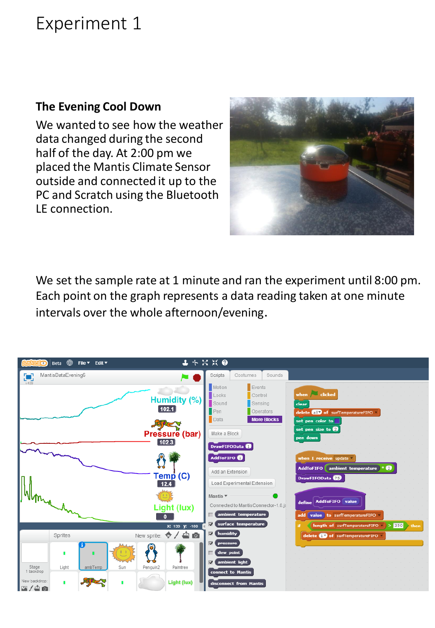### Experiment 1

#### **The Evening Cool Down**

We wanted to see how the weather data changed during the second half of the day. At 2:00 pm we placed the Mantis Climate Sensor outside and connected it up to the PC and Scratch using the Bluetooth LE connection.



We set the sample rate at 1 minute and ran the experiment until 8:00 pm. Each point on the graph represents a data reading taken at one minute intervals over the whole afternoon/evening.

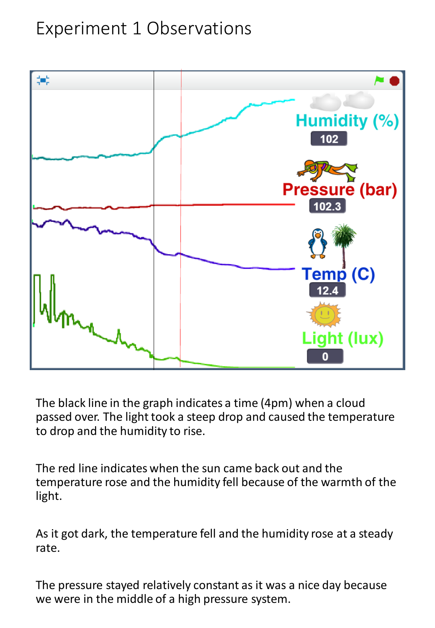### Experiment 1 Observations



The black line in the graph indicates a time (4pm) when a cloud passed over. The light took a steep drop and caused the temperature to drop and the humidity to rise.

The red line indicates when the sun came back out and the temperature rose and the humidity fell because of the warmth of the light.

As it got dark, the temperature fell and the humidity rose at a steady rate.

The pressure stayed relatively constant as it was a nice day because we were in the middle of a high pressure system.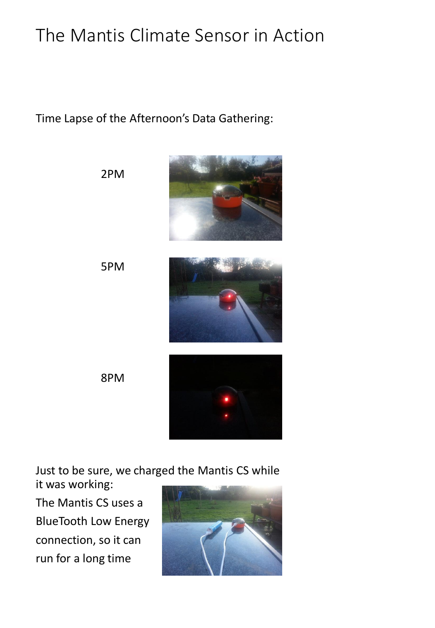# The Mantis Climate Sensor in Action

Time Lapse of the Afternoon's Data Gathering:



Just to be sure, we charged the Mantis CS while

it was working: The Mantis CS uses a

BlueTooth Low Energy connection, so it can run for a long time